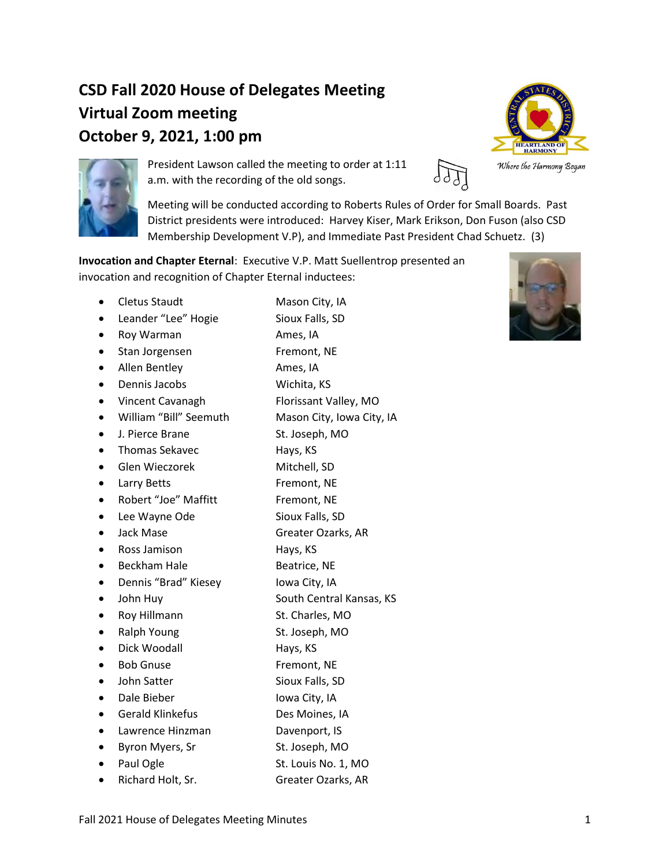# **CSD Fall 2020 House of Delegates Meeting Virtual Zoom meeting October 9, 2021, 1:00 pm**





President Lawson called the meeting to order at 1:11 a.m. with the recording of the old songs.

Meeting will be conducted according to Roberts Rules of Order for Small Boards. Past District presidents were introduced: Harvey Kiser, Mark Erikson, Don Fuson (also CSD Membership Development V.P), and Immediate Past President Chad Schuetz. (3)

**Invocation and Chapter Eternal**: Executive V.P. Matt Suellentrop presented an invocation and recognition of Chapter Eternal inductees:

- Cletus Staudt Mason City, IA • Leander "Lee" Hogie Sioux Falls, SD
- Roy Warman Ames, IA
- Stan Jorgensen Fremont, NE
- Allen Bentley **Ames**, IA
- Dennis Jacobs Wichita, KS
- Vincent Cavanagh Florissant Valley, MO
- William "Bill" Seemuth Mason City, Iowa City, IA
- J. Pierce Brane St. Joseph, MO
- Thomas Sekavec **Hays**, KS
- Glen Wieczorek Mitchell, SD
- Larry Betts Fremont, NE
- Robert "Joe" Maffitt Fremont, NE
- Lee Wayne Ode Sioux Falls, SD
- Jack Mase **Greater Ozarks, AR**
- **Ross Jamison** Hays, KS
- **Beckham Hale Beatrice, NE**
- Dennis "Brad" Kiesey Iowa City, IA
- John Huy South Central Kansas, KS
- **Roy Hillmann** St. Charles, MO
- Ralph Young St. Joseph, MO
- Dick Woodall Hays, KS
- **Bob Gnuse** Fremont, NE
- **John Satter Sioux Falls, SD**
- Dale Bieber Iowa City, IA
- 
- Gerald Klinkefus Des Moines, IA
- Lawrence Hinzman Davenport, IS
- **Byron Myers, Sr** St. Joseph, MO
- Paul Ogle St. Louis No. 1, MO
- Richard Holt, Sr. Greater Ozarks, AR

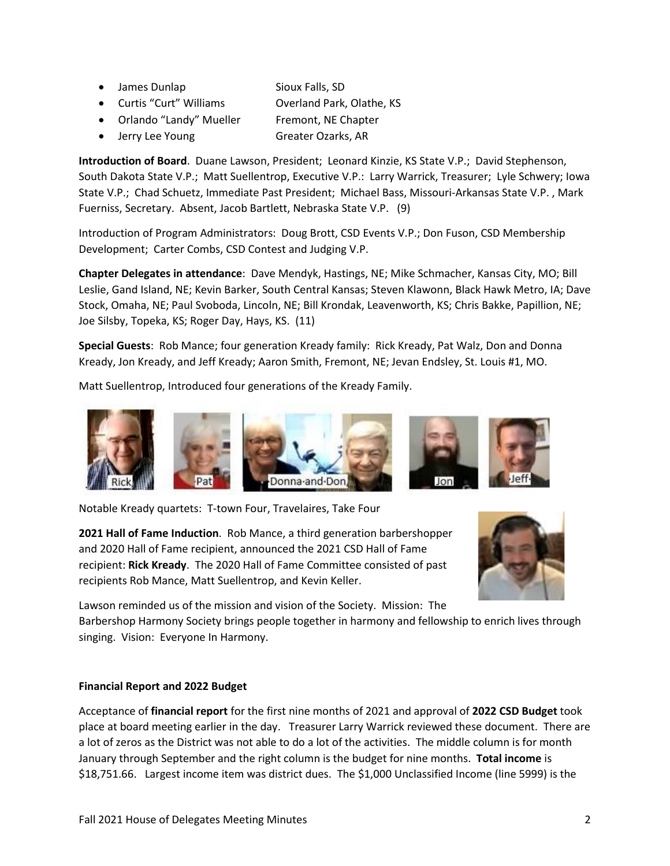- James Dunlap Sioux Falls, SD
	-
- Curtis "Curt" Williams Overland Park, Olathe, KS • Orlando "Landy" Mueller Fremont, NE Chapter
- 
- Jerry Lee Young Greater Ozarks, AR

**Introduction of Board**. Duane Lawson, President; Leonard Kinzie, KS State V.P.; David Stephenson, South Dakota State V.P.; Matt Suellentrop, Executive V.P.: Larry Warrick, Treasurer; Lyle Schwery; Iowa State V.P.; Chad Schuetz, Immediate Past President; Michael Bass, Missouri-Arkansas State V.P. , Mark Fuerniss, Secretary. Absent, Jacob Bartlett, Nebraska State V.P. (9)

Introduction of Program Administrators: Doug Brott, CSD Events V.P.; Don Fuson, CSD Membership Development; Carter Combs, CSD Contest and Judging V.P.

**Chapter Delegates in attendance**: Dave Mendyk, Hastings, NE; Mike Schmacher, Kansas City, MO; Bill Leslie, Gand Island, NE; Kevin Barker, South Central Kansas; Steven Klawonn, Black Hawk Metro, IA; Dave Stock, Omaha, NE; Paul Svoboda, Lincoln, NE; Bill Krondak, Leavenworth, KS; Chris Bakke, Papillion, NE; Joe Silsby, Topeka, KS; Roger Day, Hays, KS. (11)

**Special Guests**: Rob Mance; four generation Kready family: Rick Kready, Pat Walz, Don and Donna Kready, Jon Kready, and Jeff Kready; Aaron Smith, Fremont, NE; Jevan Endsley, St. Louis #1, MO.

Matt Suellentrop, Introduced four generations of the Kready Family.



Notable Kready quartets: T-town Four, Travelaires, Take Four

**2021 Hall of Fame Induction**. Rob Mance, a third generation barbershopper and 2020 Hall of Fame recipient, announced the 2021 CSD Hall of Fame recipient: **Rick Kready**. The 2020 Hall of Fame Committee consisted of past recipients Rob Mance, Matt Suellentrop, and Kevin Keller.



Lawson reminded us of the mission and vision of the Society. Mission: The

Barbershop Harmony Society brings people together in harmony and fellowship to enrich lives through singing. Vision: Everyone In Harmony.

## **Financial Report and 2022 Budget**

Acceptance of **financial report** for the first nine months of 2021 and approval of **2022 CSD Budget** took place at board meeting earlier in the day. Treasurer Larry Warrick reviewed these document. There are a lot of zeros as the District was not able to do a lot of the activities. The middle column is for month January through September and the right column is the budget for nine months. **Total income** is \$18,751.66. Largest income item was district dues. The \$1,000 Unclassified Income (line 5999) is the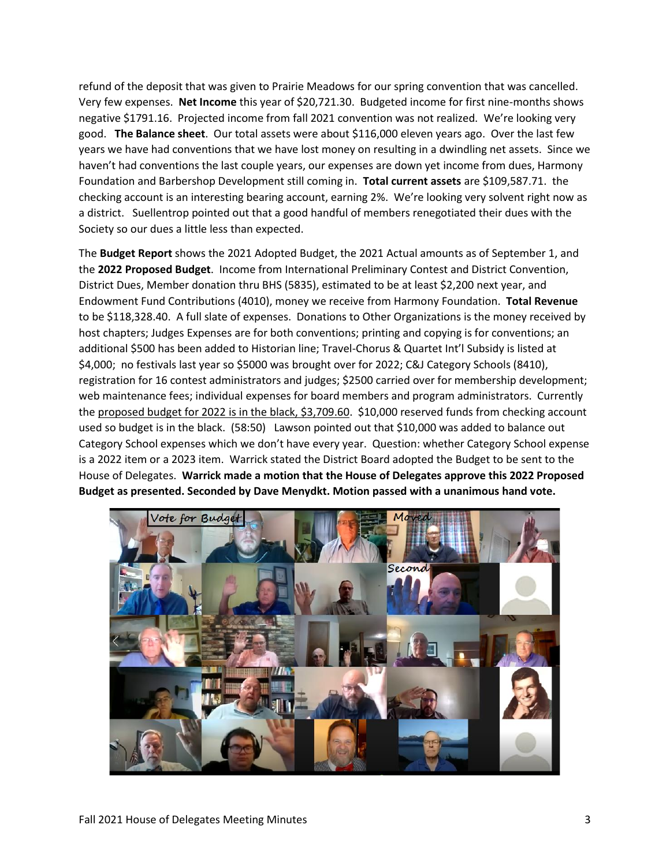refund of the deposit that was given to Prairie Meadows for our spring convention that was cancelled. Very few expenses. **Net Income** this year of \$20,721.30. Budgeted income for first nine-months shows negative \$1791.16. Projected income from fall 2021 convention was not realized. We're looking very good. **The Balance sheet**. Our total assets were about \$116,000 eleven years ago. Over the last few years we have had conventions that we have lost money on resulting in a dwindling net assets. Since we haven't had conventions the last couple years, our expenses are down yet income from dues, Harmony Foundation and Barbershop Development still coming in. **Total current assets** are \$109,587.71. the checking account is an interesting bearing account, earning 2%. We're looking very solvent right now as a district. Suellentrop pointed out that a good handful of members renegotiated their dues with the Society so our dues a little less than expected.

The **Budget Report** shows the 2021 Adopted Budget, the 2021 Actual amounts as of September 1, and the **2022 Proposed Budget**. Income from International Preliminary Contest and District Convention, District Dues, Member donation thru BHS (5835), estimated to be at least \$2,200 next year, and Endowment Fund Contributions (4010), money we receive from Harmony Foundation. **Total Revenue** to be \$118,328.40. A full slate of expenses. Donations to Other Organizations is the money received by host chapters; Judges Expenses are for both conventions; printing and copying is for conventions; an additional \$500 has been added to Historian line; Travel-Chorus & Quartet Int'l Subsidy is listed at \$4,000; no festivals last year so \$5000 was brought over for 2022; C&J Category Schools (8410), registration for 16 contest administrators and judges; \$2500 carried over for membership development; web maintenance fees; individual expenses for board members and program administrators. Currently the proposed budget for 2022 is in the black, \$3,709.60. \$10,000 reserved funds from checking account used so budget is in the black. (58:50) Lawson pointed out that \$10,000 was added to balance out Category School expenses which we don't have every year. Question: whether Category School expense is a 2022 item or a 2023 item. Warrick stated the District Board adopted the Budget to be sent to the House of Delegates. **Warrick made a motion that the House of Delegates approve this 2022 Proposed Budget as presented. Seconded by Dave Menydkt. Motion passed with a unanimous hand vote.**

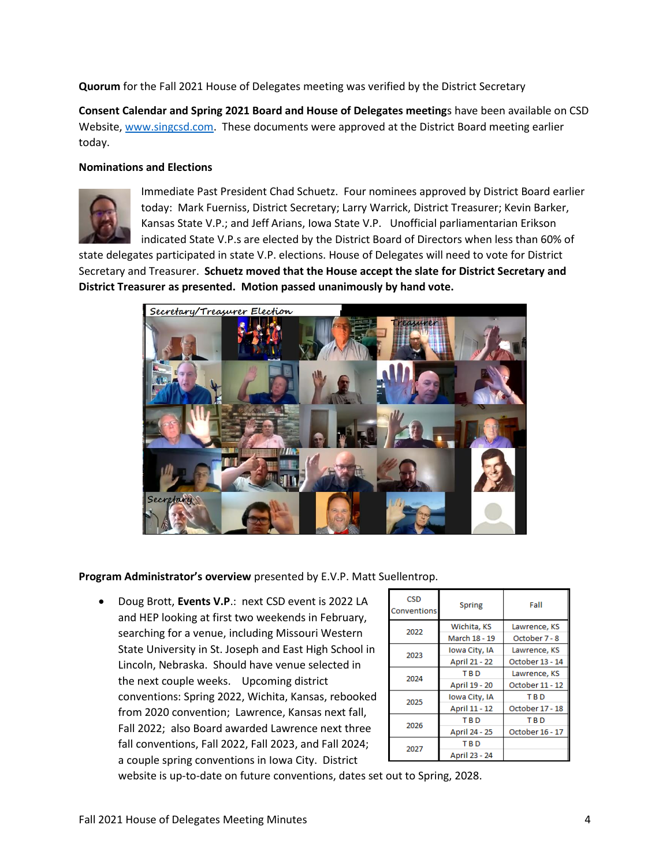**Quorum** for the Fall 2021 House of Delegates meeting was verified by the District Secretary

**Consent Calendar and Spring 2021 Board and House of Delegates meeting**s have been available on CSD Website, [www.singcsd.com.](http://www.singcsd.com/) These documents were approved at the District Board meeting earlier today.

#### **Nominations and Elections**



Immediate Past President Chad Schuetz. Four nominees approved by District Board earlier today: Mark Fuerniss, District Secretary; Larry Warrick, District Treasurer; Kevin Barker, Kansas State V.P.; and Jeff Arians, Iowa State V.P. Unofficial parliamentarian Erikson indicated State V.P.s are elected by the District Board of Directors when less than 60% of

state delegates participated in state V.P. elections. House of Delegates will need to vote for District Secretary and Treasurer. **Schuetz moved that the House accept the slate for District Secretary and District Treasurer as presented. Motion passed unanimously by hand vote.**



**Program Administrator's overview** presented by E.V.P. Matt Suellentrop.

• Doug Brott, **Events V.P**.: next CSD event is 2022 LA and HEP looking at first two weekends in February, searching for a venue, including Missouri Western State University in St. Joseph and East High School in Lincoln, Nebraska. Should have venue selected in the next couple weeks. Upcoming district conventions: Spring 2022, Wichita, Kansas, rebooked from 2020 convention; Lawrence, Kansas next fall, Fall 2022; also Board awarded Lawrence next three fall conventions, Fall 2022, Fall 2023, and Fall 2024; a couple spring conventions in Iowa City. District

| <b>CSD</b><br>Conventions | Spring        | Fall            |
|---------------------------|---------------|-----------------|
| 2022                      | Wichita, KS   | Lawrence, KS    |
|                           | March 18 - 19 | October 7 - 8   |
| 2023                      | Iowa City, IA | Lawrence, KS    |
|                           | April 21 - 22 | October 13 - 14 |
| 2024                      | T R D         | Lawrence, KS    |
|                           | April 19 - 20 | October 11 - 12 |
| 2025                      | Iowa City, IA | <b>TRD</b>      |
|                           | April 11 - 12 | October 17 - 18 |
| 2026                      | <b>TBD</b>    | <b>TBD</b>      |
|                           | April 24 - 25 | October 16 - 17 |
| 2027                      | <b>TBD</b>    |                 |
|                           | April 23 - 24 |                 |

website is up-to-date on future conventions, dates set out to Spring, 2028.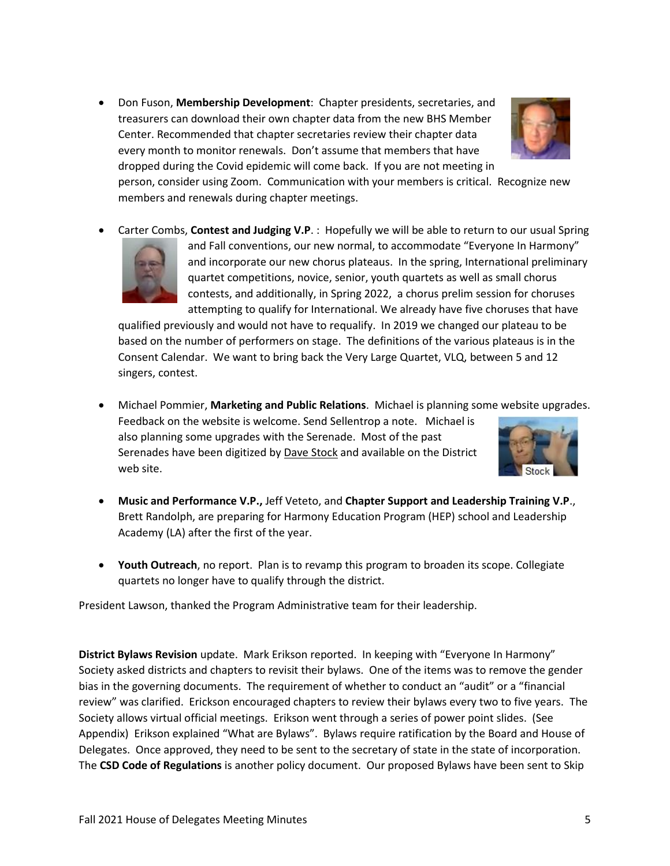• Don Fuson, **Membership Development**: Chapter presidents, secretaries, and treasurers can download their own chapter data from the new BHS Member Center. Recommended that chapter secretaries review their chapter data every month to monitor renewals. Don't assume that members that have dropped during the Covid epidemic will come back. If you are not meeting in



person, consider using Zoom. Communication with your members is critical. Recognize new members and renewals during chapter meetings.

• Carter Combs, **Contest and Judging V.P**. : Hopefully we will be able to return to our usual Spring



and Fall conventions, our new normal, to accommodate "Everyone In Harmony" and incorporate our new chorus plateaus. In the spring, International preliminary quartet competitions, novice, senior, youth quartets as well as small chorus contests, and additionally, in Spring 2022, a chorus prelim session for choruses attempting to qualify for International. We already have five choruses that have

qualified previously and would not have to requalify. In 2019 we changed our plateau to be based on the number of performers on stage. The definitions of the various plateaus is in the Consent Calendar. We want to bring back the Very Large Quartet, VLQ, between 5 and 12 singers, contest.

- Michael Pommier, **Marketing and Public Relations**. Michael is planning some website upgrades. Feedback on the website is welcome. Send Sellentrop a note. Michael is also planning some upgrades with the Serenade. Most of the past Serenades have been digitized by Dave Stock and available on the District web site.
- **Music and Performance V.P.,** Jeff Veteto, and **Chapter Support and Leadership Training V.P**., Brett Randolph, are preparing for Harmony Education Program (HEP) school and Leadership Academy (LA) after the first of the year.
- **Youth Outreach**, no report. Plan is to revamp this program to broaden its scope. Collegiate quartets no longer have to qualify through the district.

President Lawson, thanked the Program Administrative team for their leadership.

**District Bylaws Revision** update. Mark Erikson reported. In keeping with "Everyone In Harmony" Society asked districts and chapters to revisit their bylaws. One of the items was to remove the gender bias in the governing documents. The requirement of whether to conduct an "audit" or a "financial review" was clarified. Erickson encouraged chapters to review their bylaws every two to five years. The Society allows virtual official meetings. Erikson went through a series of power point slides. (See Appendix) Erikson explained "What are Bylaws". Bylaws require ratification by the Board and House of Delegates. Once approved, they need to be sent to the secretary of state in the state of incorporation. The **CSD Code of Regulations** is another policy document. Our proposed Bylaws have been sent to Skip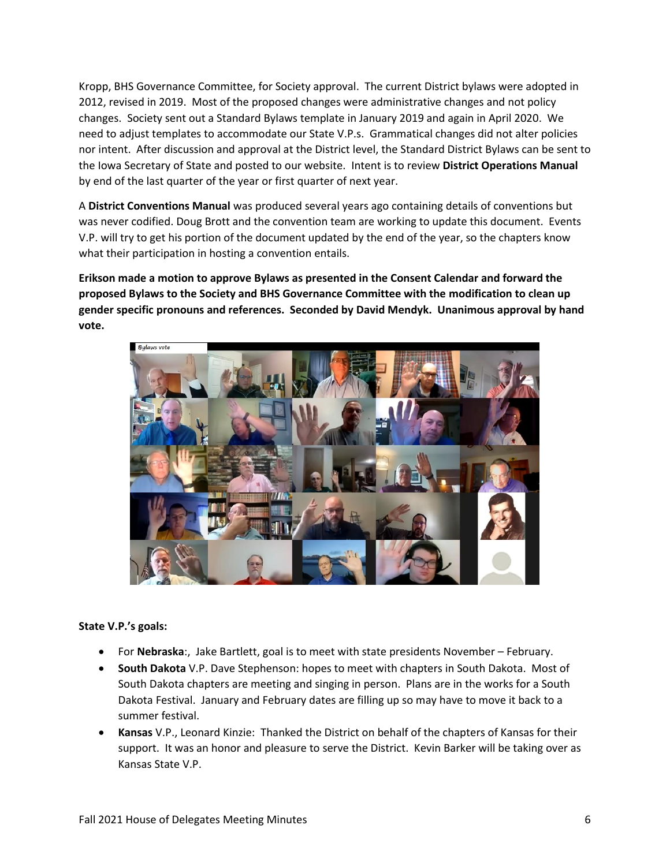Kropp, BHS Governance Committee, for Society approval. The current District bylaws were adopted in 2012, revised in 2019. Most of the proposed changes were administrative changes and not policy changes. Society sent out a Standard Bylaws template in January 2019 and again in April 2020. We need to adjust templates to accommodate our State V.P.s. Grammatical changes did not alter policies nor intent. After discussion and approval at the District level, the Standard District Bylaws can be sent to the Iowa Secretary of State and posted to our website. Intent is to review **District Operations Manual** by end of the last quarter of the year or first quarter of next year.

A **District Conventions Manual** was produced several years ago containing details of conventions but was never codified. Doug Brott and the convention team are working to update this document. Events V.P. will try to get his portion of the document updated by the end of the year, so the chapters know what their participation in hosting a convention entails.

**Erikson made a motion to approve Bylaws as presented in the Consent Calendar and forward the proposed Bylaws to the Society and BHS Governance Committee with the modification to clean up gender specific pronouns and references. Seconded by David Mendyk. Unanimous approval by hand vote.**



### **State V.P.'s goals:**

- For **Nebraska**:, Jake Bartlett, goal is to meet with state presidents November February.
- **South Dakota** V.P. Dave Stephenson: hopes to meet with chapters in South Dakota. Most of South Dakota chapters are meeting and singing in person. Plans are in the works for a South Dakota Festival. January and February dates are filling up so may have to move it back to a summer festival.
- **Kansas** V.P., Leonard Kinzie: Thanked the District on behalf of the chapters of Kansas for their support. It was an honor and pleasure to serve the District. Kevin Barker will be taking over as Kansas State V.P.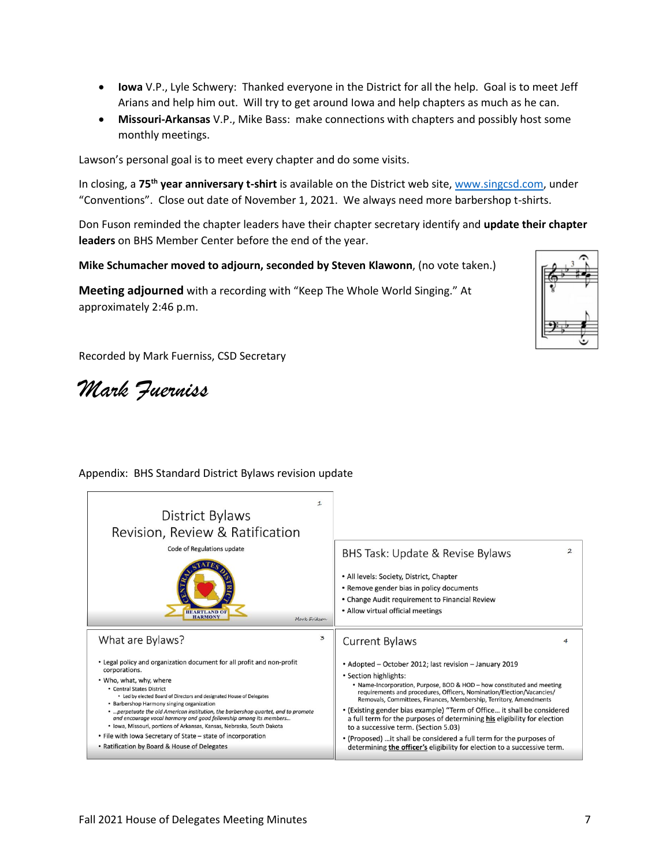- **Iowa** V.P., Lyle Schwery: Thanked everyone in the District for all the help. Goal is to meet Jeff Arians and help him out. Will try to get around Iowa and help chapters as much as he can.
- **Missouri-Arkansas** V.P., Mike Bass: make connections with chapters and possibly host some monthly meetings.

Lawson's personal goal is to meet every chapter and do some visits.

In closing, a **75th year anniversary t-shirt** is available on the District web site, [www.singcsd.com,](http://www.singcsd.com/) under "Conventions". Close out date of November 1, 2021. We always need more barbershop t-shirts.

Don Fuson reminded the chapter leaders have their chapter secretary identify and **update their chapter leaders** on BHS Member Center before the end of the year.

**Mike Schumacher moved to adjourn, seconded by Steven Klawonn**, (no vote taken.)

**Meeting adjourned** with a recording with "Keep The Whole World Singing." At approximately 2:46 p.m.



Recorded by Mark Fuerniss, CSD Secretary

*Mark Fuerniss*

### Appendix: BHS Standard District Bylaws revision update

| $\mathbf{1}$<br>District Bylaws<br>Revision, Review & Ratification<br>Code of Regulations update<br><b>HEARTLAND OF</b><br><b>HARMONY</b><br>Mark Erikson                                                                                                                                                                                                                                                                                                                                                                                                                                                                  | $\overline{2}$<br>BHS Task: Update & Revise Bylaws<br>• All levels: Society, District, Chapter<br>• Remove gender bias in policy documents<br>• Change Audit requirement to Financial Review<br>• Allow virtual official meetings                                                                                                                                                                                                                                                                                                                                                                                                                          |
|----------------------------------------------------------------------------------------------------------------------------------------------------------------------------------------------------------------------------------------------------------------------------------------------------------------------------------------------------------------------------------------------------------------------------------------------------------------------------------------------------------------------------------------------------------------------------------------------------------------------------|------------------------------------------------------------------------------------------------------------------------------------------------------------------------------------------------------------------------------------------------------------------------------------------------------------------------------------------------------------------------------------------------------------------------------------------------------------------------------------------------------------------------------------------------------------------------------------------------------------------------------------------------------------|
| 3<br>What are Bylaws?                                                                                                                                                                                                                                                                                                                                                                                                                                                                                                                                                                                                      | <b>Current Bylaws</b>                                                                                                                                                                                                                                                                                                                                                                                                                                                                                                                                                                                                                                      |
| • Legal policy and organization document for all profit and non-profit<br>corporations.<br>. Who, what, why, where<br>• Central States District<br>• Led by elected Board of Directors and designated House of Delegates<br>• Barbershop Harmony singing organization<br>•  perpetuate the old American institution, the barbershop quartet, and to promote<br>and encourage vocal harmony and good fellowship among its members<br>· Iowa, Missouri, portions of Arkansas, Kansas, Nebraska, South Dakota<br>• File with Iowa Secretary of State – state of incorporation<br>• Ratification by Board & House of Delegates | • Adopted – October 2012; last revision – January 2019<br>• Section highlights:<br>• Name-Incorporation, Purpose, BOD & HOD - how constituted and meeting<br>requirements and procedures, Officers, Nomination/Election/Vacancies/<br>Removals, Committees, Finances, Membership, Territory, Amendments<br>• (Existing gender bias example) "Term of Office it shall be considered<br>a full term for the purposes of determining his eligibility for election<br>to a successive term. (Section 5.03)<br>• (Proposed)  it shall be considered a full term for the purposes of<br>determining the officer's eligibility for election to a successive term. |